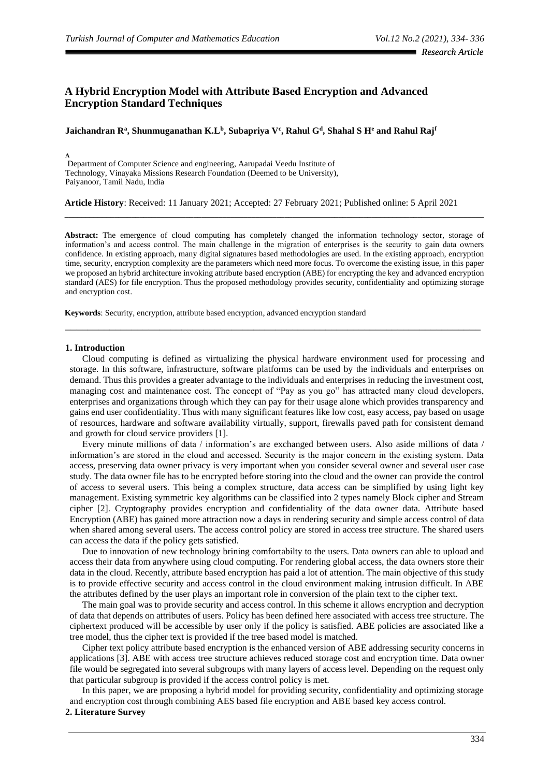# **A Hybrid Encryption Model with Attribute Based Encryption and Advanced Encryption Standard Techniques**

**Jaichandran R<sup>a</sup> , Shunmuganathan K.L<sup>b</sup> , Subapriya V<sup>c</sup> , Rahul G<sup>d</sup> , Shahal S H<sup>e</sup> and Rahul Raj<sup>f</sup>**

**A** Department of Computer Science and engineering, Aarupadai Veedu Institute of Technology, Vinayaka Missions Research Foundation (Deemed to be University), Paiyanoor, Tamil Nadu, India

**Article History**: Received: 11 January 2021; Accepted: 27 February 2021; Published online: 5 April 2021

Abstract: The emergence of cloud computing has completely changed the information technology sector, storage of information's and access control. The main challenge in the migration of enterprises is the security to gain data owners confidence. In existing approach, many digital signatures based methodologies are used. In the existing approach, encryption time, security, encryption complexity are the parameters which need more focus. To overcome the existing issue, in this paper we proposed an hybrid architecture invoking attribute based encryption (ABE) for encrypting the key and advanced encryption standard (AES) for file encryption. Thus the proposed methodology provides security, confidentiality and optimizing storage and encryption cost.

\_\_\_\_\_\_\_\_\_\_\_\_\_\_\_\_\_\_\_\_\_\_\_\_\_\_\_\_\_\_\_\_\_\_\_\_\_\_\_\_\_\_\_\_\_\_\_\_\_\_\_\_\_\_\_\_\_\_\_\_\_\_\_\_\_\_\_\_\_\_\_\_\_\_\_

**\_\_\_\_\_\_\_\_\_\_\_\_\_\_\_\_\_\_\_\_\_\_\_\_\_\_\_\_\_\_\_\_\_\_\_\_\_\_\_\_\_\_\_\_\_\_\_\_\_\_\_\_\_\_\_\_\_\_\_\_\_\_\_\_\_\_\_\_\_\_\_\_\_\_\_\_\_\_\_\_\_\_\_\_\_\_\_\_\_\_\_\_\_\_\_\_\_\_\_\_\_**

**Keywords**: Security, encryption, attribute based encryption, advanced encryption standard

#### **1. Introduction**

Cloud computing is defined as virtualizing the physical hardware environment used for processing and storage. In this software, infrastructure, software platforms can be used by the individuals and enterprises on demand. Thus this provides a greater advantage to the individuals and enterprises in reducing the investment cost, managing cost and maintenance cost. The concept of "Pay as you go" has attracted many cloud developers, enterprises and organizations through which they can pay for their usage alone which provides transparency and gains end user confidentiality. Thus with many significant features like low cost, easy access, pay based on usage of resources, hardware and software availability virtually, support, firewalls paved path for consistent demand and growth for cloud service providers [1].

Every minute millions of data / information's are exchanged between users. Also aside millions of data / information's are stored in the cloud and accessed. Security is the major concern in the existing system. Data access, preserving data owner privacy is very important when you consider several owner and several user case study. The data owner file has to be encrypted before storing into the cloud and the owner can provide the control of access to several users. This being a complex structure, data access can be simplified by using light key management. Existing symmetric key algorithms can be classified into 2 types namely Block cipher and Stream cipher [2]. Cryptography provides encryption and confidentiality of the data owner data. Attribute based Encryption (ABE) has gained more attraction now a days in rendering security and simple access control of data when shared among several users. The access control policy are stored in access tree structure. The shared users can access the data if the policy gets satisfied.

Due to innovation of new technology brining comfortabilty to the users. Data owners can able to upload and access their data from anywhere using cloud computing. For rendering global access, the data owners store their data in the cloud. Recently, attribute based encryption has paid a lot of attention. The main objective of this study is to provide effective security and access control in the cloud environment making intrusion difficult. In ABE the attributes defined by the user plays an important role in conversion of the plain text to the cipher text.

The main goal was to provide security and access control. In this scheme it allows encryption and decryption of data that depends on attributes of users. Policy has been defined here associated with access tree structure. The ciphertext produced will be accessible by user only if the policy is satisfied. ABE policies are associated like a tree model, thus the cipher text is provided if the tree based model is matched.

Cipher text policy attribute based encryption is the enhanced version of ABE addressing security concerns in applications [3]. ABE with access tree structure achieves reduced storage cost and encryption time. Data owner file would be segregated into several subgroups with many layers of access level. Depending on the request only that particular subgroup is provided if the access control policy is met.

In this paper, we are proposing a hybrid model for providing security, confidentiality and optimizing storage and encryption cost through combining AES based file encryption and ABE based key access control.

## **2. Literature Survey**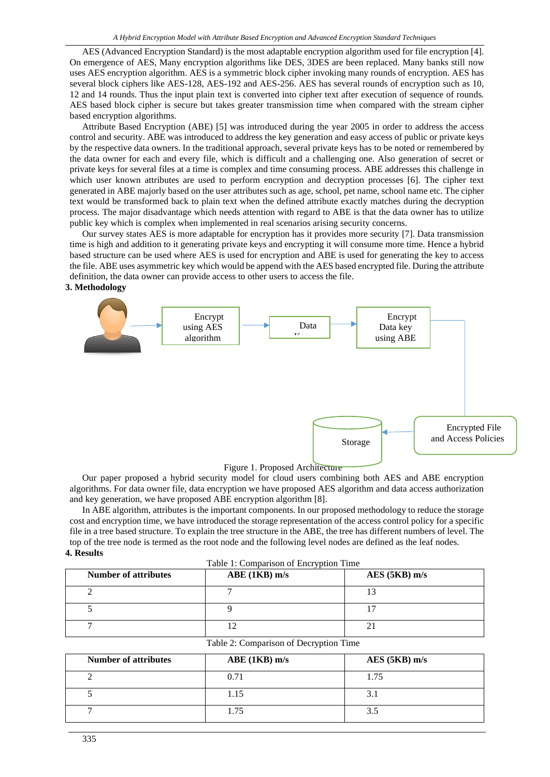AES (Advanced Encryption Standard) is the most adaptable encryption algorithm used for file encryption [4]. On emergence of AES, Many encryption algorithms like DES, 3DES are been replaced. Many banks still now uses AES encryption algorithm. AES is a symmetric block cipher invoking many rounds of encryption. AES has several block ciphers like AES-128, AES-192 and AES-256. AES has several rounds of encryption such as 10, 12 and 14 rounds. Thus the input plain text is converted into cipher text after execution of sequence of rounds. AES based block cipher is secure but takes greater transmission time when compared with the stream cipher based encryption algorithms.

Attribute Based Encryption (ABE) [5] was introduced during the year 2005 in order to address the access control and security. ABE was introduced to address the key generation and easy access of public or private keys by the respective data owners. In the traditional approach, several private keys has to be noted or remembered by the data owner for each and every file, which is difficult and a challenging one. Also generation of secret or private keys for several files at a time is complex and time consuming process. ABE addresses this challenge in which user known attributes are used to perform encryption and decryption processes [6]. The cipher text generated in ABE majorly based on the user attributes such as age, school, pet name, school name etc. The cipher text would be transformed back to plain text when the defined attribute exactly matches during the decryption process. The major disadvantage which needs attention with regard to ABE is that the data owner has to utilize public key which is complex when implemented in real scenarios arising security concerns.

Our survey states AES is more adaptable for encryption has it provides more security [7]. Data transmission time is high and addition to it generating private keys and encrypting it will consume more time. Hence a hybrid based structure can be used where AES is used for encryption and ABE is used for generating the key to access the file. ABE uses asymmetric key which would be append with the AES based encrypted file. During the attribute definition, the data owner can provide access to other users to access the file.

### **3. Methodology**



Figure 1. Proposed Architecture

Our paper proposed a hybrid security model for cloud users combining both AES and ABE encryption algorithms. For data owner file, data encryption we have proposed AES algorithm and data access authorization and key generation, we have proposed ABE encryption algorithm [8].

In ABE algorithm, attributes is the important components. In our proposed methodology to reduce the storage cost and encryption time, we have introduced the storage representation of the access control policy for a specific file in a tree based structure. To explain the tree structure in the ABE, the tree has different numbers of level. The top of the tree node is termed as the root node and the following level nodes are defined as the leaf nodes. **4. Results**

| Table 1: Comparison of Encryption Time |  |  |  |
|----------------------------------------|--|--|--|
|----------------------------------------|--|--|--|

| <b>Number of attributes</b> | ABE(1KB) m/s | $AES$ (5KB) m/s |
|-----------------------------|--------------|-----------------|
|                             |              |                 |
|                             |              | -               |
|                             |              |                 |

|  |  | Table 2: Comparison of Decryption Time |  |
|--|--|----------------------------------------|--|
|  |  |                                        |  |

| <b>Number of attributes</b> | ABE(1KB) m/s | $AES$ (5KB) m/s |
|-----------------------------|--------------|-----------------|
|                             | 0.71         | 1.75            |
|                             | 1.15         | 3.1             |
|                             | 1.75         | 3.5             |